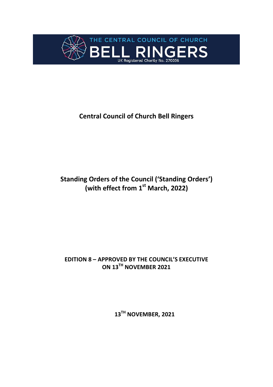

# **Central Council of Church Bell Ringers**

# **Standing Orders of the Council ('Standing Orders') (with effect from 1st March, 2022)**

## **EDITION 8 – APPROVED BY THE COUNCIL'S EXECUTIVE ON 13TH NOVEMBER 2021**

**13TH NOVEMBER, 2021**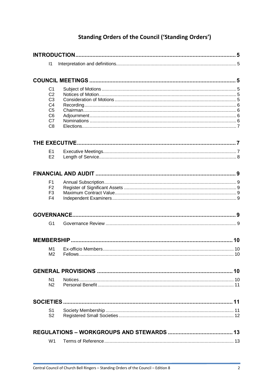# **Standing Orders of the Council ('Standing Orders')**

| $\vert$ 1                        |  |
|----------------------------------|--|
|                                  |  |
|                                  |  |
| C <sub>1</sub>                   |  |
| C <sub>2</sub>                   |  |
| C <sub>3</sub>                   |  |
| C <sub>4</sub><br>C <sub>5</sub> |  |
| C <sub>6</sub>                   |  |
| C7                               |  |
| C <sub>8</sub>                   |  |
|                                  |  |
| E <sub>1</sub>                   |  |
| E2                               |  |
|                                  |  |
|                                  |  |
| F <sub>1</sub>                   |  |
| F <sub>2</sub>                   |  |
| F <sub>3</sub><br>F <sub>4</sub> |  |
|                                  |  |
|                                  |  |
| G <sub>1</sub>                   |  |
|                                  |  |
| M1                               |  |
| M <sub>2</sub>                   |  |
|                                  |  |
|                                  |  |
| N1                               |  |
| N <sub>2</sub>                   |  |
|                                  |  |
| S1                               |  |
| S <sub>2</sub>                   |  |
|                                  |  |
| W <sub>1</sub>                   |  |
|                                  |  |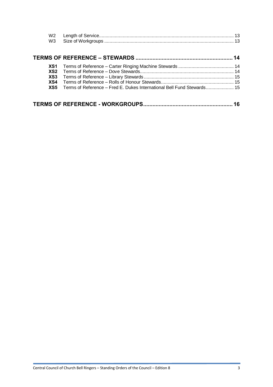| W2<br>W <sub>3</sub>                 |                                                                        |    |
|--------------------------------------|------------------------------------------------------------------------|----|
|                                      |                                                                        |    |
| XS1<br>XS <sub>2</sub><br>XS3<br>XS4 |                                                                        |    |
| XS5                                  | Terms of Reference - Fred E. Dukes International Bell Fund Stewards 15 |    |
|                                      |                                                                        | 16 |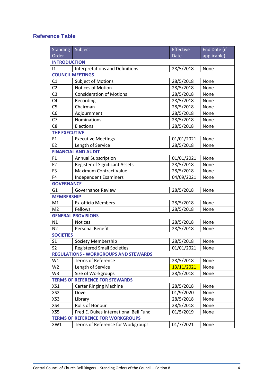### **Reference Table**

| <b>Standing</b>                              | Subject                               | Effective   | End Date (if |  |  |  |  |  |
|----------------------------------------------|---------------------------------------|-------------|--------------|--|--|--|--|--|
| Order                                        |                                       | <b>Date</b> | applicable)  |  |  |  |  |  |
| <b>INTRODUCTION</b>                          |                                       |             |              |  |  |  |  |  |
| 1                                            | Interpretations and Definitions       | 28/5/2018   | None         |  |  |  |  |  |
|                                              | <b>COUNCIL MEETINGS</b>               |             |              |  |  |  |  |  |
| C1                                           | <b>Subject of Motions</b>             | 28/5/2018   | None         |  |  |  |  |  |
| C <sub>2</sub>                               | Notices of Motion                     | 28/5/2018   | None         |  |  |  |  |  |
| C <sub>3</sub>                               | <b>Consideration of Motions</b>       | 28/5/2018   | None         |  |  |  |  |  |
| C4                                           | Recording                             | 28/5/2018   | None         |  |  |  |  |  |
| C <sub>5</sub>                               | Chairman                              | 28/5/2018   | None         |  |  |  |  |  |
| C <sub>6</sub>                               | Adjournment                           | 28/5/2018   | None         |  |  |  |  |  |
| C <sub>7</sub>                               | Nominations                           | 28/5/2018   | None         |  |  |  |  |  |
| C <sub>8</sub>                               | Elections                             | 28/5/2018   | None         |  |  |  |  |  |
| <b>THE EXECUTIVE</b>                         |                                       |             |              |  |  |  |  |  |
| E1                                           | <b>Executive Meetings</b>             | 01/01/2021  | None         |  |  |  |  |  |
| E <sub>2</sub>                               | Length of Service                     | 28/5/2018   | None         |  |  |  |  |  |
|                                              | <b>FINANCIAL AND AUDIT</b>            |             |              |  |  |  |  |  |
| F1                                           | <b>Annual Subscription</b>            | 01/01/2021  | None         |  |  |  |  |  |
| F <sub>2</sub>                               | <b>Register of Significant Assets</b> | 28/5/2018   | None         |  |  |  |  |  |
| F <sub>3</sub>                               | <b>Maximum Contract Value</b>         | 28/5/2018   | None         |  |  |  |  |  |
| F <sub>4</sub>                               | <b>Independent Examiners</b>          | 04/09/2021  | None         |  |  |  |  |  |
| <b>GOVERNANCE</b>                            |                                       |             |              |  |  |  |  |  |
| G <sub>1</sub>                               | <b>Governance Review</b>              | 28/5/2018   | None         |  |  |  |  |  |
| <b>MEMBERSHIP</b>                            |                                       |             |              |  |  |  |  |  |
| M1                                           | <b>Ex-officio Members</b>             | 28/5/2018   | None         |  |  |  |  |  |
| M <sub>2</sub>                               | Fellows                               | 28/5/2018   | None         |  |  |  |  |  |
|                                              | <b>GENERAL PROVISIONS</b>             |             |              |  |  |  |  |  |
| N1                                           | <b>Notices</b>                        | 28/5/2018   | None         |  |  |  |  |  |
| N <sub>2</sub>                               | <b>Personal Benefit</b>               | 28/5/2018   | None         |  |  |  |  |  |
| <b>SOCIETIES</b>                             |                                       |             |              |  |  |  |  |  |
| S <sub>1</sub>                               | Society Membership                    | 28/5/2018   | None         |  |  |  |  |  |
| S <sub>2</sub>                               | <b>Registered Small Societies</b>     | 01/01/2021  | None         |  |  |  |  |  |
| <b>REGULATIONS - WORKGROUPS AND STEWARDS</b> |                                       |             |              |  |  |  |  |  |
| W1                                           | <b>Terms of Reference</b>             | 28/5/2018   | None         |  |  |  |  |  |
| W <sub>2</sub>                               | Length of Service                     | 13/11/2021  | None         |  |  |  |  |  |
| W <sub>3</sub>                               | Size of Workgroups                    | 28/5/2018   | None         |  |  |  |  |  |
| <b>TERMS OF REFERENCE FOR STEWARDS</b>       |                                       |             |              |  |  |  |  |  |
| XS1                                          | <b>Carter Ringing Machine</b>         | 28/5/2018   | None         |  |  |  |  |  |
| XS <sub>2</sub>                              | Dove                                  | 01/9/2020   | None         |  |  |  |  |  |
| XS3                                          | Library                               | 28/5/2018   | None         |  |  |  |  |  |
| XS4                                          | Rolls of Honour                       | 28/5/2018   | None         |  |  |  |  |  |
| XS5                                          | Fred E. Dukes International Bell Fund | 01/5/2019   | None         |  |  |  |  |  |
| <b>TERMS OF REFERENCE FOR WORKGROUPS</b>     |                                       |             |              |  |  |  |  |  |
| XW1                                          | Terms of Reference for Workgroups     | 01/7/2021   | None         |  |  |  |  |  |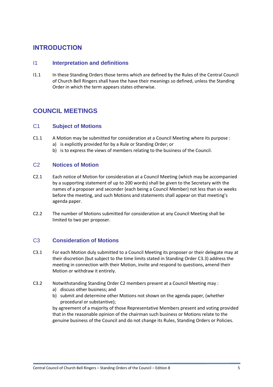### **INTRODUCTION**

### I1 **Interpretation and definitions**

I1.1 In these Standing Orders those terms which are defined by the Rules of the Central Council of Church Bell Ringers shall have the have their meanings so defined, unless the Standing Order in which the term appears states otherwise.

# **COUNCIL MEETINGS**

### C1 **Subject of Motions**

- C1.1 A Motion may be submitted for consideration at a Council Meeting where its purpose : a) is explicitly provided for by a Rule or Standing Order; or
	- b) is to express the views of members relating to the business of the Council.

### <span id="page-4-0"></span>C2 **Notices of Motion**

- C2.1 Each notice of Motion for consideration at a Council Meeting (which may be accompanied by a supporting statement of up to 200 words) shall be given to the Secretary with the names of a proposer and seconder (each being a Council Member) not less than six weeks before the meeting, and such Motions and statements shall appear on that meeting's agenda paper.
- C2.2 The number of Motions submitted for consideration at any Council Meeting shall be limited to two per proposer.

### C3 **Consideration of Motions**

- C3.1 For each Motion duly submitted to a Council Meeting its proposer or their delegate may at their discretion (but subject to the time limits stated in Standing Order [C3.3\)](#page-5-0) address the meeting in connection with their Motion, invite and respond to questions, amend their Motion or withdraw it entirely.
- C3.2 Notwithstanding Standing Order [C2](#page-4-0) members present at a Council Meeting may :
	- a) discuss other business; and
	- b) submit and determine other Motions not shown on the agenda paper, (whether procedural or substantive);

by agreement of a majority of those Representative Members present and voting provided that in the reasonable opinion of the chairman such business or Motions relate to the genuine business of the Council and do not change its Rules, Standing Orders or Policies.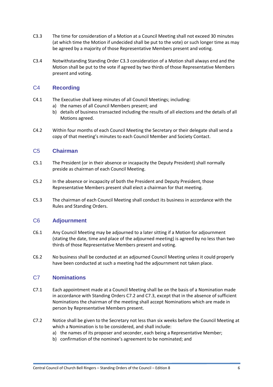- <span id="page-5-0"></span>C3.3 The time for consideration of a Motion at a Council Meeting shall not exceed 30 minutes (at which time the Motion if undecided shall be put to the vote) or such longer time as may be agreed by a majority of those Representative Members present and voting.
- C3.4 Notwithstanding Standing Order [C3.3](#page-5-0) consideration of a Motion shall always end and the Motion shall be put to the vote if agreed by two thirds of those Representative Members present and voting.

### C4 **Recording**

- C4.1 The Executive shall keep minutes of all Council Meetings; including:
	- a) the names of all Council Members present; and
	- b) details of business transacted including the results of all elections and the details of all Motions agreed.
- C4.2 Within four months of each Council Meeting the Secretary or their delegate shall send a copy of that meeting's minutes to each Council Member and Society Contact.

### C5 **Chairman**

- C5.1 The President (or in their absence or incapacity the Deputy President) shall normally preside as chairman of each Council Meeting.
- C5.2 In the absence or incapacity of both the President and Deputy President, those Representative Members present shall elect a chairman for that meeting.
- C5.3 The chairman of each Council Meeting shall conduct its business in accordance with the Rules and Standing Orders.

### C6 **Adjournment**

- C6.1 Any Council Meeting may be adjourned to a later sitting if a Motion for adjournment (stating the date, time and place of the adjourned meeting) is agreed by no less than two thirds of those Representative Members present and voting.
- C6.2 No business shall be conducted at an adjourned Council Meeting unless it could properly have been conducted at such a meeting had the adjournment not taken place.

### C7 **Nominations**

- C7.1 Each appointment made at a Council Meeting shall be on the basis of a Nomination made in accordance with Standing Orders [C7.2](#page-5-1) and [C7.3,](#page-6-0) except that in the absence of sufficient Nominations the chairman of the meeting shall accept Nominations which are made in person by Representative Members present.
- <span id="page-5-1"></span>C7.2 Notice shall be given to the Secretary not less than six weeks before the Council Meeting at which a Nomination is to be considered, and shall include:
	- a) the names of its proposer and seconder, each being a Representative Member;
	- b) confirmation of the nominee's agreement to be nominated; and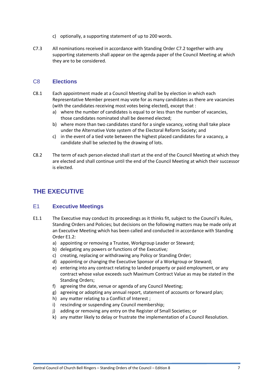- c) optionally, a supporting statement of up to 200 words.
- <span id="page-6-0"></span>C7.3 All nominations received in accordance with Standing Orde[r C7.2](#page-5-1) together with any supporting statements shall appear on the agenda paper of the Council Meeting at which they are to be considered.

### C8 **Elections**

- C8.1 Each appointment made at a Council Meeting shall be by election in which each Representative Member present may vote for as many candidates as there are vacancies (with the candidates receiving most votes being elected), except that :
	- a) where the number of candidates is equal to or less than the number of vacancies, those candidates nominated shall be deemed elected;
	- b) where more than two candidates stand for a single vacancy, voting shall take place under the Alternative Vote system of the Electoral Reform Society; and
	- c) in the event of a tied vote between the highest placed candidates for a vacancy, a candidate shall be selected by the drawing of lots.
- C8.2 The term of each person elected shall start at the end of the Council Meeting at which they are elected and shall continue until the end of the Council Meeting at which their successor is elected.

# **THE EXECUTIVE**

### E1 **Executive Meetings**

- <span id="page-6-1"></span>E1.1 The Executive may conduct its proceedings as it thinks fit, subject to the Council's Rules, Standing Orders and Policies; but decisions on the following matters may be made only at an Executive Meeting which has been called and conducted in accordance with Standing Order [E1.2:](#page-6-1)
	- a) appointing or removing a Trustee, Workgroup Leader or Steward;
	- b) delegating any powers or functions of the Executive*;*
	- c) creating, replacing or withdrawing any Policy or Standing Order;
	- d) appointing or changing the Executive Sponsor of a Workgroup or Steward;
	- e) entering into any contract relating to landed property or paid employment, or any contract whose value exceeds such Maximum Contract Value as may be stated in the Standing Orders;
	- f) agreeing the date, venue or agenda of any Council Meeting;
	- g) agreeing or adopting any annual report, statement of accounts or forward plan;
	- h) any matter relating to a Conflict of Interest ;
	- i) rescinding or suspending any Council membership;
	- j) adding or removing any entry on the Register of Small Societies; or
	- k) any matter likely to delay or frustrate the implementation of a Council Resolution.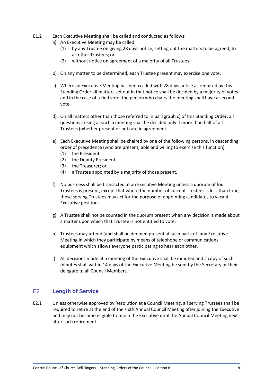- <span id="page-7-0"></span>E1.2 Each Executive Meeting shall be called and conducted as follows:
	- a) An Executive Meeting may be called:
		- (1) by any Trustee on giving 28 days notice, setting out the matters to be agreed, to all other Trustees; or
		- (2) without notice on agreement of a majority of all Trustees.
	- b) On any matter to be determined, each Trustee present may exercise one vote.
	- c) Where an Executive Meeting has been called with 28 days notice as required by this Standing Order all matters set out in that notice shall be decided by a majority of votes and in the case of a tied vote, the person who chairs the meeting shall have a second vote.
	- d) On all matters other than those referred to in paragraph [c\)](#page-7-0) of this Standing Order, all questions arising at such a meeting shall be decided only if more than half of all Trustees (whether present or not) are in agreement.
	- e) Each Executive Meeting shall be chaired by one of the following persons, in descending order of precedence (who are present, able and willing to exercise this function):
		- (1) the President;
		- (2) the Deputy President;
		- (3) the Treasurer; or
		- (4) a Trustee appointed by a majority of those present.
	- f) No business shall be transacted at an Executive Meeting unless a quorum of four Trustees is present, except that where the number of current Trustees is less than four, those serving Trustees may act for the purpose of appointing candidates to vacant Executive positions.
	- g) A Trustee shall not be counted in the quorum present when any decision is made about a matter upon which that Trustee is not entitled to vote.
	- h) Trustees may attend (and shall be deemed present at such parts of) any Executive Meeting in which they participate by means of telephone or communications equipment which allows everyone participating to hear each other.
	- i) All decisions made at a meeting of the Executive shall be minuted and a copy of such minutes shall within 14 days of the Executive Meeting be sent by the Secretary or their delegate to all Council Members.

### E2 **Length of Service**

E2.1 Unless otherwise approved by Resolution at a Council Meeting, all serving Trustees shall be required to retire at the end of the sixth Annual Council Meeting after joining the Executive and may not become eligible to rejoin the Executive until the Annual Council Meeting next after such retirement.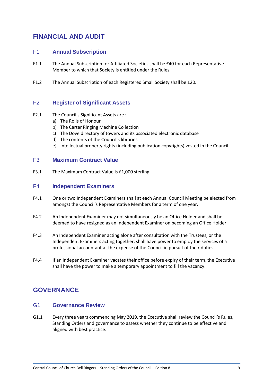# **FINANCIAL AND AUDIT**

### F1 **Annual Subscription**

- F1.1 The Annual Subscription for Affiliated Societies shall be £40 for each Representative Member to which that Society is entitled under the Rules.
- F1.2 The Annual Subscription of each Registered Small Society shall be £20.

### F2 **Register of Significant Assets**

- F2.1 The Council's Significant Assets are :
	- a) The Rolls of Honour
	- b) The Carter Ringing Machine Collection
	- c) The Dove directory of towers and its associated electronic database
	- d) The contents of the Council's libraries
	- e) Intellectual property rights (including publication copyrights) vested in the Council.

#### F3 **Maximum Contract Value**

F3.1 The Maximum Contract Value is £1,000 sterling.

#### F4 **Independent Examiners**

- F4.1 One or two Independent Examiners shall at each Annual Council Meeting be elected from amongst the Council's Representative Members for a term of one year.
- F4.2 An Independent Examiner may not simultaneously be an Office Holder and shall be deemed to have resigned as an Independent Examiner on becoming an Office Holder.
- F4.3 An Independent Examiner acting alone after consultation with the Trustees, or the Independent Examiners acting together, shall have power to employ the services of a professional accountant at the expense of the Council in pursuit of their duties.
- F4.4 If an Independent Examiner vacates their office before expiry of their term, the Executive shall have the power to make a temporary appointment to fill the vacancy.

### **GOVERNANCE**

#### G1 **Governance Review**

G1.1 Every three years commencing May 2019, the Executive shall review the Council's Rules, Standing Orders and governance to assess whether they continue to be effective and aligned with best practice.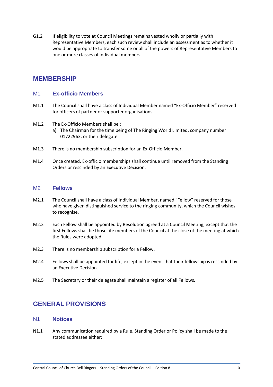G1.2 If eligibility to vote at Council Meetings remains vested wholly or partially with Representative Members, each such review shall include an assessment as to whether it would be appropriate to transfer some or all of the powers of Representative Members to one or more classes of individual members.

### **MEMBERSHIP**

#### M1 **Ex-officio Members**

- M1.1 The Council shall have a class of Individual Member named "Ex-Officio Member" reserved for officers of partner or supporter organisations.
- M1.2 The Ex-Officio Members shall be :
	- a) The Chairman for the time being of The Ringing World Limited, company number 01722963, or their delegate.
- M1.3 There is no membership subscription for an Ex-Officio Member.
- M1.4 Once created, Ex-officio memberships shall continue until removed from the Standing Orders or rescinded by an Executive Decision.

#### M2 **Fellows**

- M2.1 The Council shall have a class of Individual Member, named "Fellow" reserved for those who have given distinguished service to the ringing community, which the Council wishes to recognise.
- M2.2 Each Fellow shall be appointed by Resolution agreed at a Council Meeting, except that the first Fellows shall be those life members of the Council at the close of the meeting at which the Rules were adopted.
- M2.3 There is no membership subscription for a Fellow.
- M2.4 Fellows shall be appointed for life, except in the event that their fellowship is rescinded by an Executive Decision.
- M2.5 The Secretary or their delegate shall maintain a register of all Fellows.

## **GENERAL PROVISIONS**

### N1 **Notices**

<span id="page-9-0"></span>N1.1 Any communication required by a Rule, Standing Order or Policy shall be made to the stated addressee either: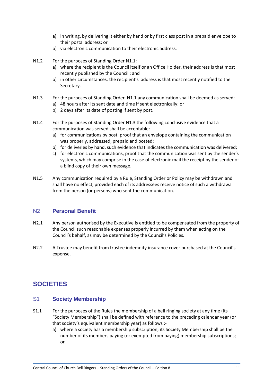- a) in writing, by delivering it either by hand or by first class post in a prepaid envelope to their postal address; or
- b) via electronic communication to their electronic address.
- N1.2 For the purposes of Standing Order [N1.1:](#page-9-0)
	- a) where the recipient is the Council itself or an Office Holder, their address is that most recently published by the Council ; and
	- b) in other circumstances, the recipient's address is that most recently notified to the Secretary.
- <span id="page-10-0"></span>N1.3 For the purposes of Standing Order [N1.1](#page-9-0) any communication shall be deemed as served: a) 48 hours after its sent date and time if sent electronically; or
	- b) 2 days after its date of posting if sent by post.
- N1.4 For the purposes of Standing Order [N1.3](#page-10-0) the following conclusive evidence that a communication was served shall be acceptable:
	- a) for communications by post, proof that an envelope containing the communication was properly, addressed, prepaid and posted;
	- b) for deliveries by hand, such evidence that indicates the communication was delivered;
	- c) for electronic communications, proof that the communication was sent by the sender's systems, which may comprise in the case of electronic mail the receipt by the sender of a blind copy of their own message.
- N1.5 Any communication required by a Rule, Standing Order or Policy may be withdrawn and shall have no effect, provided each of its addressees receive notice of such a withdrawal from the person (or persons) who sent the communication.

### N2 **Personal Benefit**

- N2.1 Any person authorised by the Executive is entitled to be compensated from the property of the Council such reasonable expenses properly incurred by them when acting on the Council's behalf, as may be determined by the Council's Policies.
- N2.2 A Trustee may benefit from trustee indemnity insurance cover purchased at the Council's expense.

# **SOCIETIES**

### S1 **Society Membership**

- S1.1 For the purposes of the Rules the membership of a bell ringing society at any time (its "Society Membership") shall be defined with reference to the preceding calendar year (or that society's equivalent membership year) as follows :
	- a) where a society has a membership subscription, its Society Membership shall be the number of its members paying (or exempted from paying) membership subscriptions; or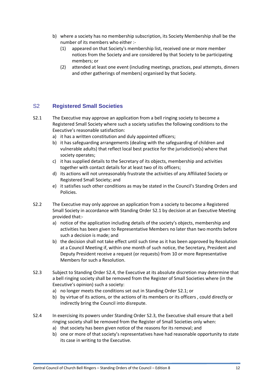- b) where a society has no membership subscription, its Society Membership shall be the number of its members who either :-
	- (1) appeared on that Society's membership list, received one or more member notices from the Society and are considered by that Society to be participating members; or
	- (2) attended at least one event (including meetings, practices, peal attempts, dinners and other gatherings of members) organised by that Society.

### S2 **Registered Small Societies**

- <span id="page-11-0"></span>S2.1 The Executive may approve an application from a bell ringing society to become a Registered Small Society where such a society satisfies the following conditions to the Executive's reasonable satisfaction:
	- a) it has a written constitution and duly appointed officers;
	- b) it has safeguarding arrangements (dealing with the safeguarding of children and vulnerable adults) that reflect local best practice for the jurisdiction(s) where that society operates;
	- c) it has supplied details to the Secretary of its objects, membership and activities together with contact details for at least two of its officers;
	- d) its actions will not unreasonably frustrate the activities of any Affiliated Society or Registered Small Society; and
	- e) it satisfies such other conditions as may be stated in the Council's Standing Orders and Policies.
- S2.2 The Executive may only approve an application from a society to become a Registered Small Society in accordance with Standing Order [S2.1](#page-11-0) by decision at an Executive Meeting provided that:
	- a) notice of the application including details of the society's objects, membership and activities has been given to Representative Members no later than two months before such a decision is made; and
	- b) the decision shall not take effect until such time as it has been approved by Resolution at a Council Meeting if, within one month of such notice, the Secretary, President and Deputy President receive a request (or requests) from 10 or more Representative Members for such a Resolution.
- <span id="page-11-1"></span>S2.3 Subject to Standing Order S2.4, the Executive at its absolute discretion may determine that a bell ringing society shall be removed from the Register of Small Societies where (in the Executive's opinion) such a society:
	- a) no longer meets the conditions set out in Standing Order [S2.1;](#page-11-0) or
	- b) by virtue of its actions, or the actions of its members or its officers , could directly or indirectly bring the Council into disrepute.
- S2.4 In exercising its powers under Standing Order [S2.3,](#page-11-1) the Executive shall ensure that a bell ringing society shall be removed from the Register of Small Societies only when:
	- a) that society has been given notice of the reasons for its removal; and
	- b) one or more of that society's representatives have had reasonable opportunity to state its case in writing to the Executive.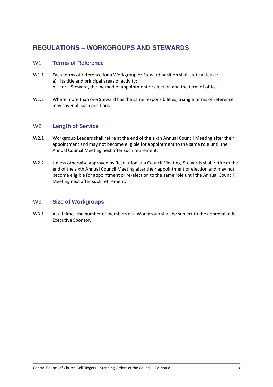# **REGULATIONS – WORKGROUPS AND STEWARDS**

### W1 **Terms of Reference**

- W1.1 Each terms of reference for a Workgroup or Steward position shall state at least : a) its title and principal areas of activity;
	- b) for a Steward, the method of appointment or election and the term of office.
- W1.2 Where more than one Steward has the same responsibilities, a single terms of reference may cover all such positions.

### W2 **Length of Service**

- W2.1 Workgroup Leaders shall retire at the end of the sixth Annual Council Meeting after their appointment and may not become eligible for appointment to the same role until the Annual Council Meeting next after such retirement.
- W2.2 Unless otherwise approved by Resolution at a Council Meeting, Stewards shall retire at the end of the sixth Annual Council Meeting after their appointment or election and may not become eligible for appointment or re-election to the same role until the Annual Council Meeting next after such retirement.

### W3 **Size of Workgroups**

W3.1 At all times the number of members of a Workgroup shall be subject to the approval of its Executive Sponsor.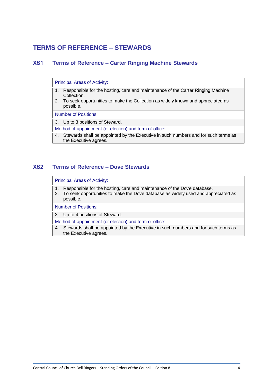## **TERMS OF REFERENCE – STEWARDS**

### **XS1 Terms of Reference – Carter Ringing Machine Stewards**

Principal Areas of Activity:

- 1. Responsible for the hosting, care and maintenance of the Carter Ringing Machine Collection.
- 2. To seek opportunities to make the Collection as widely known and appreciated as possible.

Number of Positions:

3. Up to 3 positions of Steward.

Method of appointment (or election) and term of office:

4. Stewards shall be appointed by the Executive in such numbers and for such terms as the Executive agrees.

#### **XS2 Terms of Reference – Dove Stewards**

Principal Areas of Activity:

- 1. Responsible for the hosting, care and maintenance of the Dove database.
- 2. To seek opportunities to make the Dove database as widely used and appreciated as possible.

Number of Positions:

3. Up to 4 positions of Steward.

Method of appointment (or election) and term of office:

4. Stewards shall be appointed by the Executive in such numbers and for such terms as the Executive agrees.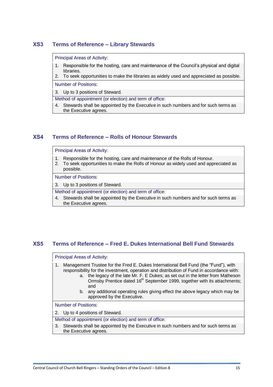### **XS3 Terms of Reference – Library Stewards**

#### Principal Areas of Activity:

- 1. Responsible for the hosting, care and maintenance of the Council's physical and digital libraries.
- 2. To seek opportunities to make the libraries as widely used and appreciated as possible.

Number of Positions:

3. Up to 3 positions of Steward.

Method of appointment (or election) and term of office:

4. Stewards shall be appointed by the Executive in such numbers and for such terms as the Executive agrees.

### **XS4 Terms of Reference – Rolls of Honour Stewards**

Principal Areas of Activity:

- 1. Responsible for the hosting, care and maintenance of the Rolls of Honour.
- 2. To seek opportunities to make the Rolls of Honour as widely used and appreciated as possible.

Number of Positions:

3. Up to 3 positions of Steward.

- Method of appointment (or election) and term of office:
- 4. Stewards shall be appointed by the Executive in such numbers and for such terms as the Executive agrees.

### **XS5 Terms of Reference – Fred E. Dukes International Bell Fund Stewards**

#### Principal Areas of Activity:

- 1. Management Trustee for the Fred E. Dukes International Bell Fund (the "Fund"), with responsibility for the investment, operation and distribution of Fund in accordance with:
	- a. the legacy of the late Mr. F. E Dukes; as set out in the letter from Matheson Ormsby Prentice dated 16<sup>th</sup> September 1999, together with its attachments; and
	- b. any additional operating rules giving effect the above legacy which may be approved by the Executive.

Number of Positions:

2. Up to 4 positions of Steward.

Method of appointment (or election) and term of office:

3. Stewards shall be appointed by the Executive in such numbers and for such terms as the Executive agrees.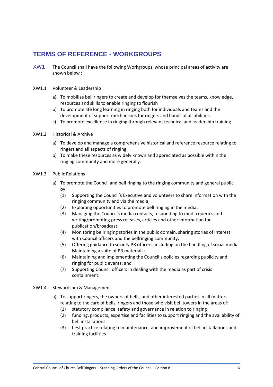# **TERMS OF REFERENCE - WORKGROUPS**

XW1 The Council shall have the following Workgroups, whose principal areas of activity are shown below :

#### XW1.1 Volunteer & Leadership

- a) To mobilise bell ringers to create and develop for themselves the teams, knowledge, resources and skills to enable ringing to flourish
- b) To promote life long learning in ringing both for individuals and teams and the development of support mechanisms for ringers and bands of all abilities.
- c) To promote excellence in ringing through relevant technical and leadership training
- XW1.2 Historical & Archive
	- a) To develop and manage a comprehensive historical and reference resource relating to ringers and all aspects of ringing.
	- b) To make these resources as widely known and appreciated as possible within the ringing community and more generally.
- XW1.3 Public Relations
	- a) To promote the Council and bell ringing to the ringing community and general public, by:
		- (1) Supporting the Council's Executive and volunteers to share information with the ringing community and via the media;
		- (2) Exploiting opportunities to promote bell ringing in the media;
		- (3) Managing the Council's media contacts, responding to media queries and writing/promoting press releases, articles and other information for publication/broadcast;
		- (4) Monitoring bellringing stories in the public domain, sharing stories of interest with Council officers and the bellringing community;
		- (5) Offering guidance to society PR officers, including on the handling of social media. Maintaining a suite of PR materials;
		- (6) Maintaining and implementing the Council's policies regarding publicity and ringing for public events; and
		- (7) Supporting Council officers in dealing with the media as part of crisis containment.
- XW1.4 Stewardship & Management
	- a) To support ringers, the owners of bells, and other interested parties in all matters relating to the care of bells, ringers and those who visit bell towers in the areas of:
		- (1) statutory compliance, safety and governance in relation to ringing
		- (2) funding, products, expertise and facilities to support ringing and the availability of bell installations
		- (3) best practice relating to maintenance, and improvement of bell installations and training facilities